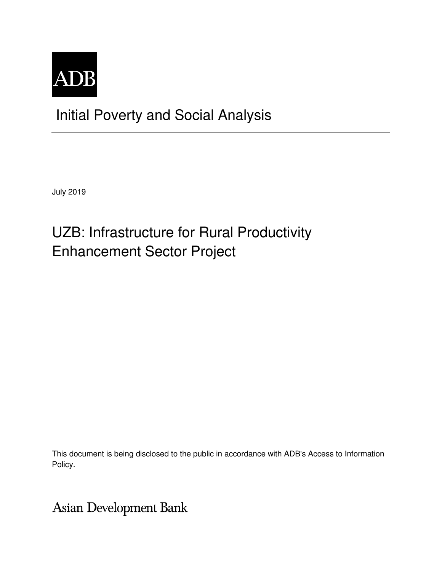

## Initial Poverty and Social Analysis

July 2019

# UZB: Infrastructure for Rural Productivity Enhancement Sector Project

This document is being disclosed to the public in accordance with ADB's Access to Information Policy.

Asian Development Bank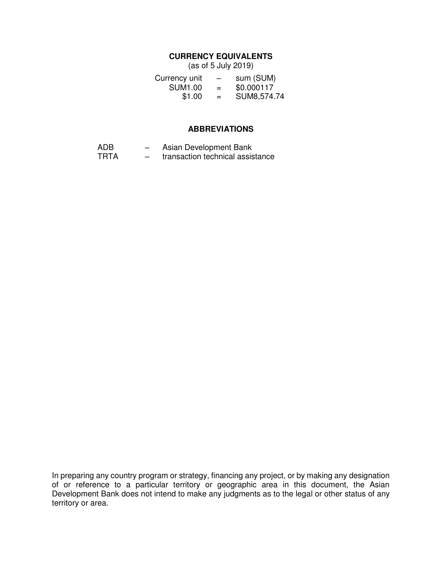#### **CURRENCY EQUIVALENTS**

(as of 5 July 2019)

| Currency unit  | $\overline{\phantom{0}}$ | sum (SUM)   |
|----------------|--------------------------|-------------|
| <b>SUM1.00</b> | $=$                      | \$0.000117  |
| \$1.00         | $=$                      | SUM8,574.74 |

#### **ABBREVIATIONS**

- ADB Asian Development Bank<br>TRTA transaction technical assis
- transaction technical assistance

In preparing any country program or strategy, financing any project, or by making any designation of or reference to a particular territory or geographic area in this document, the Asian Development Bank does not intend to make any judgments as to the legal or other status of any territory or area.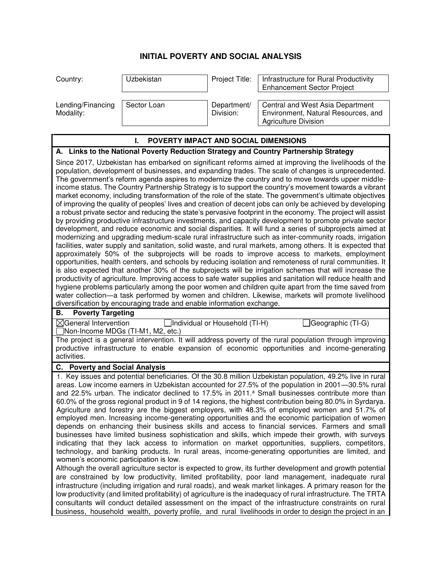### **INITIAL POVERTY AND SOCIAL ANALYSIS**

| Country:                       | Uzbekistan  | Project Title:           | Infrastructure for Rural Productivity<br><b>Enhancement Sector Project</b>                             |
|--------------------------------|-------------|--------------------------|--------------------------------------------------------------------------------------------------------|
| Lending/Financing<br>Modality: | Sector Loan | Department/<br>Division: | Central and West Asia Department<br>Environment, Natural Resources, and<br><b>Agriculture Division</b> |

infrastructure (including irrigation and rural roads), and weak market linkages. A primary reason for the low productivity (and limited profitability) of agriculture is the inadequacy of rural infrastructure. The TRTA consultants will conduct detailed assessment on the impact of the infrastructure constraints on rural business, household wealth, poverty profile, and rural livelihoods in order to design the project in an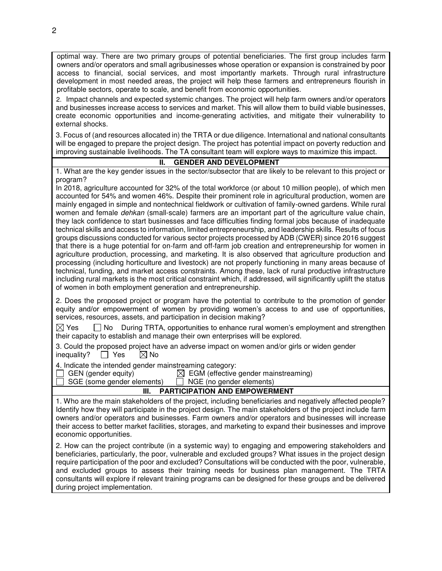optimal way. There are two primary groups of potential beneficiaries. The first group includes farm owners and/or operators and small agribusinesses whose operation or expansion is constrained by poor access to financial, social services, and most importantly markets. Through rural infrastructure development in most needed areas, the project will help these farmers and entrepreneurs flourish in profitable sectors, operate to scale, and benefit from economic opportunities.

2. Impact channels and expected systemic changes. The project will help farm owners and/or operators and businesses increase access to services and market. This will allow them to build viable businesses, create economic opportunities and income-generating activities, and mitigate their vulnerability to external shocks.

3. Focus of (and resources allocated in) the TRTA or due diligence. International and national consultants will be engaged to prepare the project design. The project has potential impact on poverty reduction and improving sustainable livelihoods. The TA consultant team will explore ways to maximize this impact.

#### **II. GENDER AND DEVELOPMENT**

1. What are the key gender issues in the sector/subsector that are likely to be relevant to this project or program?

In 2018, agriculture accounted for 32% of the total workforce (or about 10 million people), of which men accounted for 54% and women 46%. Despite their prominent role in agricultural production, women are mainly engaged in simple and nontechnical fieldwork or cultivation of family-owned gardens. While rural women and female *dehkan* (small-scale) farmers are an important part of the agriculture value chain, they lack confidence to start businesses and face difficulties finding formal jobs because of inadequate technical skills and access to information, limited entrepreneurship, and leadership skills. Results of focus groups discussions conducted for various sector projects processed by ADB (CWER) since 2016 suggest that there is a huge potential for on-farm and off-farm job creation and entrepreneurship for women in agriculture production, processing, and marketing. It is also observed that agriculture production and processing (including horticulture and livestock) are not properly functioning in many areas because of technical, funding, and market access constraints. Among these, lack of rural productive infrastructure including rural markets is the most critical constraint which, if addressed, will significantly uplift the status of women in both employment generation and entrepreneurship.

2. Does the proposed project or program have the potential to contribute to the promotion of gender equity and/or empowerment of women by providing women's access to and use of opportunities, services, resources, assets, and participation in decision making?

 $\boxtimes$  Yes  $\Box$  No During TRTA, opportunities to enhance rural women's employment and strengthen their capacity to establish and manage their own enterprises will be explored.

3. Could the proposed project have an adverse impact on women and/or girls or widen gender inequality?  $\Box$  Yes  $\boxtimes$  No

4. Indicate the intended gender mainstreaming category:<br>  $\Box$  GEN (gender equity)  $\Box$  EGM (effective

 $\boxtimes$  EGM (effective gender mainstreaming)

SGE (some gender elements)  $\Box$  NGE (no gender elements)

#### **III. PARTICIPATION AND EMPOWERMENT**

1. Who are the main stakeholders of the project, including beneficiaries and negatively affected people? Identify how they will participate in the project design. The main stakeholders of the project include farm owners and/or operators and businesses. Farm owners and/or operators and businesses will increase their access to better market facilities, storages, and marketing to expand their businesses and improve economic opportunities.

2. How can the project contribute (in a systemic way) to engaging and empowering stakeholders and beneficiaries, particularly, the poor, vulnerable and excluded groups? What issues in the project design require participation of the poor and excluded? Consultations will be conducted with the poor, vulnerable, and excluded groups to assess their training needs for business plan management. The TRTA consultants will explore if relevant training programs can be designed for these groups and be delivered during project implementation.